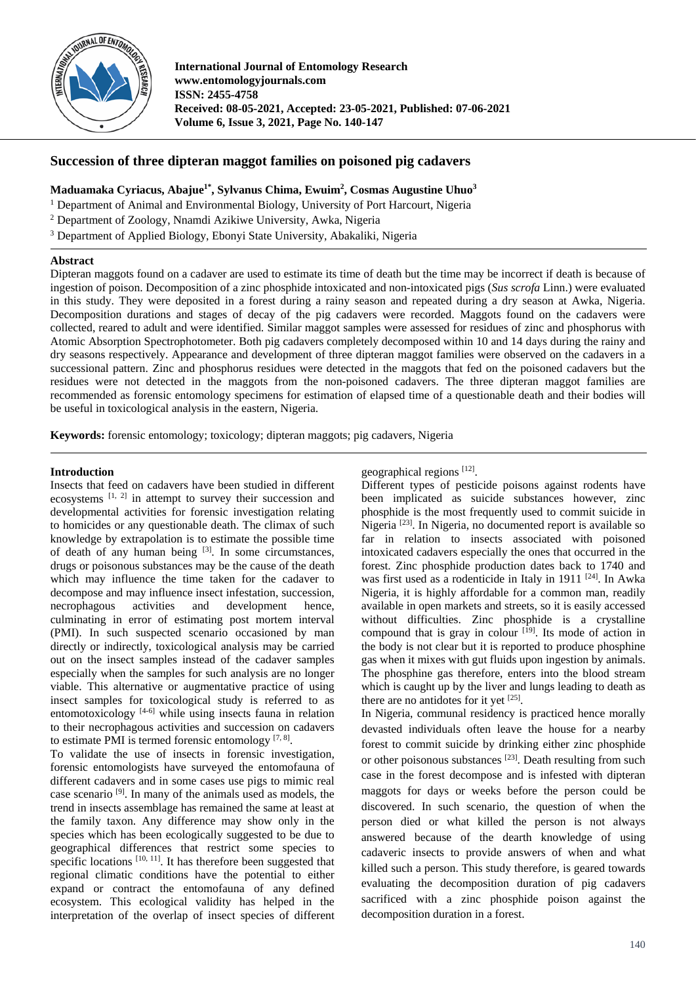

**International Journal of Entomology Research www.entomologyjournals.com ISSN: 2455-4758 Received: 08-05-2021, Accepted: 23-05-2021, Published: 07-06-2021 Volume 6, Issue 3, 2021, Page No. 140-147**

# **Succession of three dipteran maggot families on poisoned pig cadavers**

**Maduamaka Cyriacus, Abajue1\* , Sylvanus Chima, Ewuim2 , Cosmas Augustine Uhuo3**

<sup>1</sup> Department of Animal and Environmental Biology, University of Port Harcourt, Nigeria

<sup>2</sup> Department of Zoology, Nnamdi Azikiwe University, Awka, Nigeria

<sup>3</sup> Department of Applied Biology, Ebonyi State University, Abakaliki, Nigeria

## **Abstract**

Dipteran maggots found on a cadaver are used to estimate its time of death but the time may be incorrect if death is because of ingestion of poison. Decomposition of a zinc phosphide intoxicated and non-intoxicated pigs (*Sus scrofa* Linn.) were evaluated in this study. They were deposited in a forest during a rainy season and repeated during a dry season at Awka, Nigeria. Decomposition durations and stages of decay of the pig cadavers were recorded. Maggots found on the cadavers were collected, reared to adult and were identified. Similar maggot samples were assessed for residues of zinc and phosphorus with Atomic Absorption Spectrophotometer. Both pig cadavers completely decomposed within 10 and 14 days during the rainy and dry seasons respectively. Appearance and development of three dipteran maggot families were observed on the cadavers in a successional pattern. Zinc and phosphorus residues were detected in the maggots that fed on the poisoned cadavers but the residues were not detected in the maggots from the non-poisoned cadavers. The three dipteran maggot families are recommended as forensic entomology specimens for estimation of elapsed time of a questionable death and their bodies will be useful in toxicological analysis in the eastern, Nigeria.

**Keywords:** forensic entomology; toxicology; dipteran maggots; pig cadavers, Nigeria

## **Introduction**

Insects that feed on cadavers have been studied in different ecosystems [1, 2] in attempt to survey their succession and developmental activities for forensic investigation relating to homicides or any questionable death. The climax of such knowledge by extrapolation is to estimate the possible time of death of any human being [3]. In some circumstances, drugs or poisonous substances may be the cause of the death which may influence the time taken for the cadaver to decompose and may influence insect infestation, succession, necrophagous activities and development hence, culminating in error of estimating post mortem interval (PMI). In such suspected scenario occasioned by man directly or indirectly, toxicological analysis may be carried out on the insect samples instead of the cadaver samples especially when the samples for such analysis are no longer viable. This alternative or augmentative practice of using insect samples for toxicological study is referred to as entomotoxicology  $[4-6]$  while using insects fauna in relation to their necrophagous activities and succession on cadavers to estimate PMI is termed forensic entomology  $[7, 8]$ .

To validate the use of insects in forensic investigation, forensic entomologists have surveyed the entomofauna of different cadavers and in some cases use pigs to mimic real case scenario [9]. In many of the animals used as models, the trend in insects assemblage has remained the same at least at the family taxon. Any difference may show only in the species which has been ecologically suggested to be due to geographical differences that restrict some species to specific locations  $[10, 11]$ . It has therefore been suggested that regional climatic conditions have the potential to either expand or contract the entomofauna of any defined ecosystem. This ecological validity has helped in the interpretation of the overlap of insect species of different geographical regions [12].

Different types of pesticide poisons against rodents have been implicated as suicide substances however, zinc phosphide is the most frequently used to commit suicide in Nigeria [23]. In Nigeria, no documented report is available so far in relation to insects associated with poisoned intoxicated cadavers especially the ones that occurred in the forest. Zinc phosphide production dates back to 1740 and was first used as a rodenticide in Italy in 1911<sup>[24]</sup>. In Awka Nigeria, it is highly affordable for a common man, readily available in open markets and streets, so it is easily accessed without difficulties. Zinc phosphide is a crystalline compound that is gray in colour  $[19]$ . Its mode of action in the body is not clear but it is reported to produce phosphine gas when it mixes with gut fluids upon ingestion by animals. The phosphine gas therefore, enters into the blood stream which is caught up by the liver and lungs leading to death as there are no antidotes for it yet [25].

In Nigeria, communal residency is practiced hence morally devasted individuals often leave the house for a nearby forest to commit suicide by drinking either zinc phosphide or other poisonous substances <sup>[23]</sup>. Death resulting from such case in the forest decompose and is infested with dipteran maggots for days or weeks before the person could be discovered. In such scenario, the question of when the person died or what killed the person is not always answered because of the dearth knowledge of using cadaveric insects to provide answers of when and what killed such a person. This study therefore, is geared towards evaluating the decomposition duration of pig cadavers sacrificed with a zinc phosphide poison against the decomposition duration in a forest.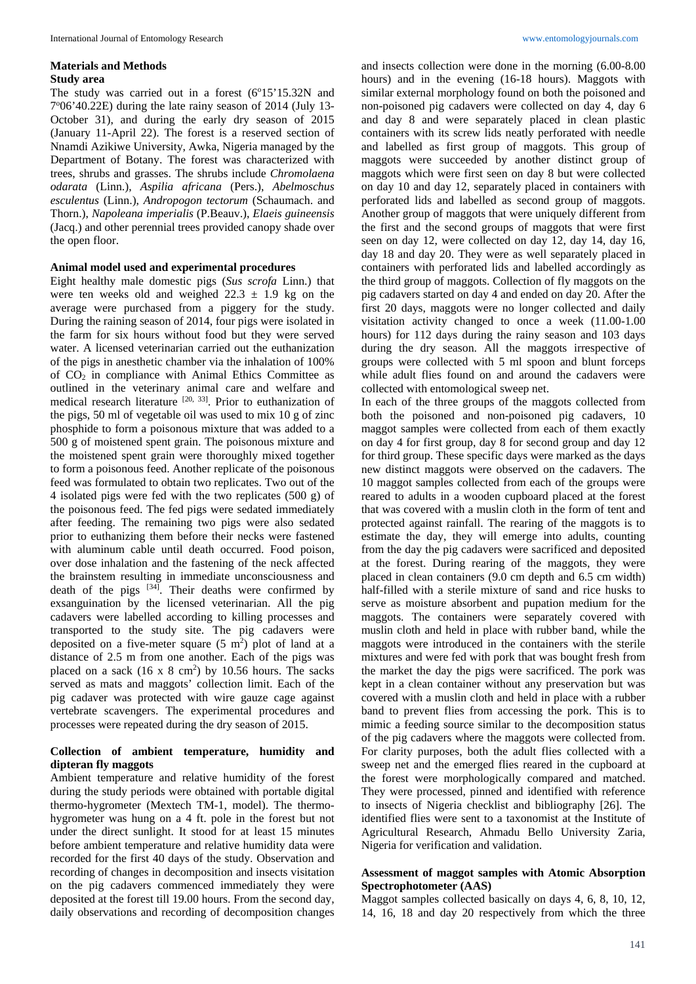#### **Materials and Methods Study area**

The study was carried out in a forest  $(6^{\circ}15'15.32N$  and 7°06'40.22E) during the late rainy season of 2014 (July 13-October 31), and during the early dry season of 2015 (January 11-April 22). The forest is a reserved section of Nnamdi Azikiwe University, Awka, Nigeria managed by the Department of Botany. The forest was characterized with trees, shrubs and grasses. The shrubs include *Chromolaena odarata* (Linn.), *Aspilia africana* (Pers.), *Abelmoschus esculentus* (Linn.), *Andropogon tectorum* (Schaumach. and Thorn.), *Napoleana imperialis* (P.Beauv.), *Elaeis guineensis*  (Jacq.) and other perennial trees provided canopy shade over the open floor.

### **Animal model used and experimental procedures**

Eight healthy male domestic pigs (*Sus scrofa* Linn.) that were ten weeks old and weighed  $22.3 \pm 1.9$  kg on the average were purchased from a piggery for the study. During the raining season of 2014, four pigs were isolated in the farm for six hours without food but they were served water. A licensed veterinarian carried out the euthanization of the pigs in anesthetic chamber via the inhalation of 100% of CO2 in compliance with Animal Ethics Committee as outlined in the veterinary animal care and welfare and medical research literature [20, 33]. Prior to euthanization of the pigs, 50 ml of vegetable oil was used to mix 10 g of zinc phosphide to form a poisonous mixture that was added to a 500 g of moistened spent grain. The poisonous mixture and the moistened spent grain were thoroughly mixed together to form a poisonous feed. Another replicate of the poisonous feed was formulated to obtain two replicates. Two out of the 4 isolated pigs were fed with the two replicates (500 g) of the poisonous feed. The fed pigs were sedated immediately after feeding. The remaining two pigs were also sedated prior to euthanizing them before their necks were fastened with aluminum cable until death occurred. Food poison, over dose inhalation and the fastening of the neck affected the brainstem resulting in immediate unconsciousness and death of the pigs  $[34]$ . Their deaths were confirmed by exsanguination by the licensed veterinarian. All the pig cadavers were labelled according to killing processes and transported to the study site. The pig cadavers were deposited on a five-meter square  $(5 \text{ m}^2)$  plot of land at a distance of 2.5 m from one another. Each of the pigs was placed on a sack  $(16 \times 8 \text{ cm}^2)$  by 10.56 hours. The sacks served as mats and maggots' collection limit. Each of the pig cadaver was protected with wire gauze cage against vertebrate scavengers. The experimental procedures and processes were repeated during the dry season of 2015.

### **Collection of ambient temperature, humidity and dipteran fly maggots**

Ambient temperature and relative humidity of the forest during the study periods were obtained with portable digital thermo-hygrometer (Mextech TM-1, model). The thermohygrometer was hung on a 4 ft. pole in the forest but not under the direct sunlight. It stood for at least 15 minutes before ambient temperature and relative humidity data were recorded for the first 40 days of the study. Observation and recording of changes in decomposition and insects visitation on the pig cadavers commenced immediately they were deposited at the forest till 19.00 hours. From the second day, daily observations and recording of decomposition changes

and insects collection were done in the morning (6.00-8.00 hours) and in the evening (16-18 hours). Maggots with similar external morphology found on both the poisoned and non-poisoned pig cadavers were collected on day 4, day 6 and day 8 and were separately placed in clean plastic containers with its screw lids neatly perforated with needle and labelled as first group of maggots. This group of maggots were succeeded by another distinct group of maggots which were first seen on day 8 but were collected on day 10 and day 12, separately placed in containers with perforated lids and labelled as second group of maggots. Another group of maggots that were uniquely different from the first and the second groups of maggots that were first seen on day 12, were collected on day 12, day 14, day 16, day 18 and day 20. They were as well separately placed in containers with perforated lids and labelled accordingly as the third group of maggots. Collection of fly maggots on the pig cadavers started on day 4 and ended on day 20. After the first 20 days, maggots were no longer collected and daily visitation activity changed to once a week (11.00-1.00 hours) for 112 days during the rainy season and 103 days during the dry season. All the maggots irrespective of groups were collected with 5 ml spoon and blunt forceps while adult flies found on and around the cadavers were collected with entomological sweep net.

In each of the three groups of the maggots collected from both the poisoned and non-poisoned pig cadavers, 10 maggot samples were collected from each of them exactly on day 4 for first group, day 8 for second group and day 12 for third group. These specific days were marked as the days new distinct maggots were observed on the cadavers. The 10 maggot samples collected from each of the groups were reared to adults in a wooden cupboard placed at the forest that was covered with a muslin cloth in the form of tent and protected against rainfall. The rearing of the maggots is to estimate the day, they will emerge into adults, counting from the day the pig cadavers were sacrificed and deposited at the forest. During rearing of the maggots, they were placed in clean containers (9.0 cm depth and 6.5 cm width) half-filled with a sterile mixture of sand and rice husks to serve as moisture absorbent and pupation medium for the maggots. The containers were separately covered with muslin cloth and held in place with rubber band, while the maggots were introduced in the containers with the sterile mixtures and were fed with pork that was bought fresh from the market the day the pigs were sacrificed. The pork was kept in a clean container without any preservation but was covered with a muslin cloth and held in place with a rubber band to prevent flies from accessing the pork. This is to mimic a feeding source similar to the decomposition status of the pig cadavers where the maggots were collected from. For clarity purposes, both the adult flies collected with a sweep net and the emerged flies reared in the cupboard at the forest were morphologically compared and matched. They were processed, pinned and identified with reference to insects of Nigeria checklist and bibliography [26]. The identified flies were sent to a taxonomist at the Institute of Agricultural Research, Ahmadu Bello University Zaria, Nigeria for verification and validation.

## **Assessment of maggot samples with Atomic Absorption Spectrophotometer (AAS)**

Maggot samples collected basically on days 4, 6, 8, 10, 12, 14, 16, 18 and day 20 respectively from which the three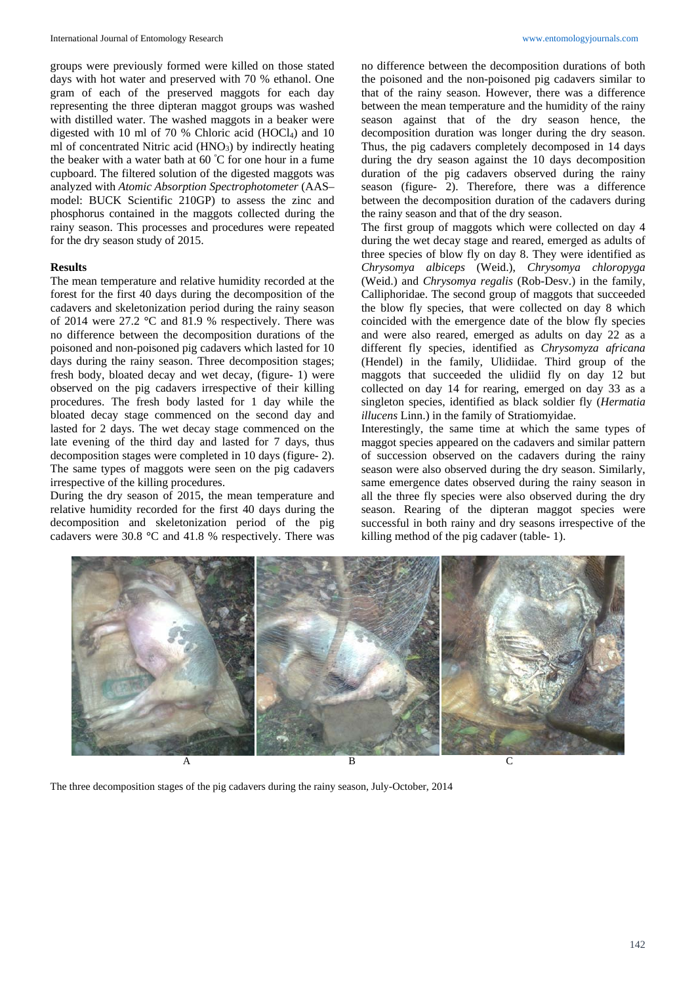groups were previously formed were killed on those stated days with hot water and preserved with 70 % ethanol. One gram of each of the preserved maggots for each day representing the three dipteran maggot groups was washed with distilled water. The washed maggots in a beaker were digested with 10 ml of 70 % Chloric acid (HOCl<sub>4</sub>) and 10 ml of concentrated Nitric acid (HNO<sub>3</sub>) by indirectly heating the beaker with a water bath at  $60^{\degree}C$  for one hour in a fume cupboard. The filtered solution of the digested maggots was analyzed with *Atomic Absorption Spectrophotometer* (AAS– model: BUCK Scientific 210GP) to assess the zinc and phosphorus contained in the maggots collected during the rainy season. This processes and procedures were repeated for the dry season study of 2015.

### **Results**

The mean temperature and relative humidity recorded at the forest for the first 40 days during the decomposition of the cadavers and skeletonization period during the rainy season of 2014 were 27.2 **°**C and 81.9 % respectively. There was no difference between the decomposition durations of the poisoned and non-poisoned pig cadavers which lasted for 10 days during the rainy season. Three decomposition stages; fresh body, bloated decay and wet decay, (figure- 1) were observed on the pig cadavers irrespective of their killing procedures. The fresh body lasted for 1 day while the bloated decay stage commenced on the second day and lasted for 2 days. The wet decay stage commenced on the late evening of the third day and lasted for 7 days, thus decomposition stages were completed in 10 days (figure- 2). The same types of maggots were seen on the pig cadavers irrespective of the killing procedures.

During the dry season of 2015, the mean temperature and relative humidity recorded for the first 40 days during the decomposition and skeletonization period of the pig cadavers were 30.8 **°**C and 41.8 % respectively. There was no difference between the decomposition durations of both the poisoned and the non-poisoned pig cadavers similar to that of the rainy season. However, there was a difference between the mean temperature and the humidity of the rainy season against that of the dry season hence, the decomposition duration was longer during the dry season. Thus, the pig cadavers completely decomposed in 14 days during the dry season against the 10 days decomposition duration of the pig cadavers observed during the rainy season (figure- 2). Therefore, there was a difference between the decomposition duration of the cadavers during the rainy season and that of the dry season.

The first group of maggots which were collected on day 4 during the wet decay stage and reared, emerged as adults of three species of blow fly on day 8. They were identified as *Chrysomya albiceps* (Weid.), *Chrysomya chloropyga* (Weid.) and *Chrysomya regalis* (Rob*-*Desv.) in the family, Calliphoridae. The second group of maggots that succeeded the blow fly species, that were collected on day 8 which coincided with the emergence date of the blow fly species and were also reared, emerged as adults on day 22 as a different fly species, identified as *Chrysomyza africana* (Hendel) in the family, Ulidiidae. Third group of the maggots that succeeded the ulidiid fly on day 12 but collected on day 14 for rearing, emerged on day 33 as a singleton species, identified as black soldier fly (*Hermatia illucens* Linn.) in the family of Stratiomyidae.

Interestingly, the same time at which the same types of maggot species appeared on the cadavers and similar pattern of succession observed on the cadavers during the rainy season were also observed during the dry season. Similarly, same emergence dates observed during the rainy season in all the three fly species were also observed during the dry season. Rearing of the dipteran maggot species were successful in both rainy and dry seasons irrespective of the killing method of the pig cadaver (table- 1).



The three decomposition stages of the pig cadavers during the rainy season, July-October, 2014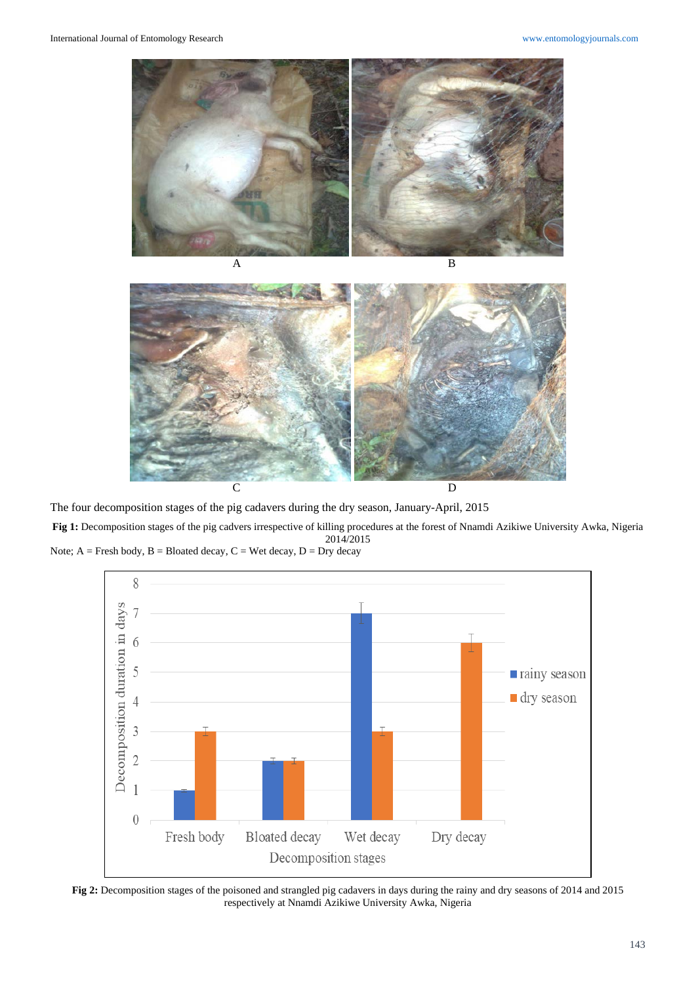



The four decomposition stages of the pig cadavers during the dry season, January-April, 2015 **Fig 1:** Decomposition stages of the pig cadvers irrespective of killing procedures at the forest of Nnamdi Azikiwe University Awka, Nigeria 2014/2015 Note;  $A =$  Fresh body,  $B =$  Bloated decay,  $C =$  Wet decay,  $D =$  Dry decay



**Fig 2:** Decomposition stages of the poisoned and strangled pig cadavers in days during the rainy and dry seasons of 2014 and 2015 respectively at Nnamdi Azikiwe University Awka, Nigeria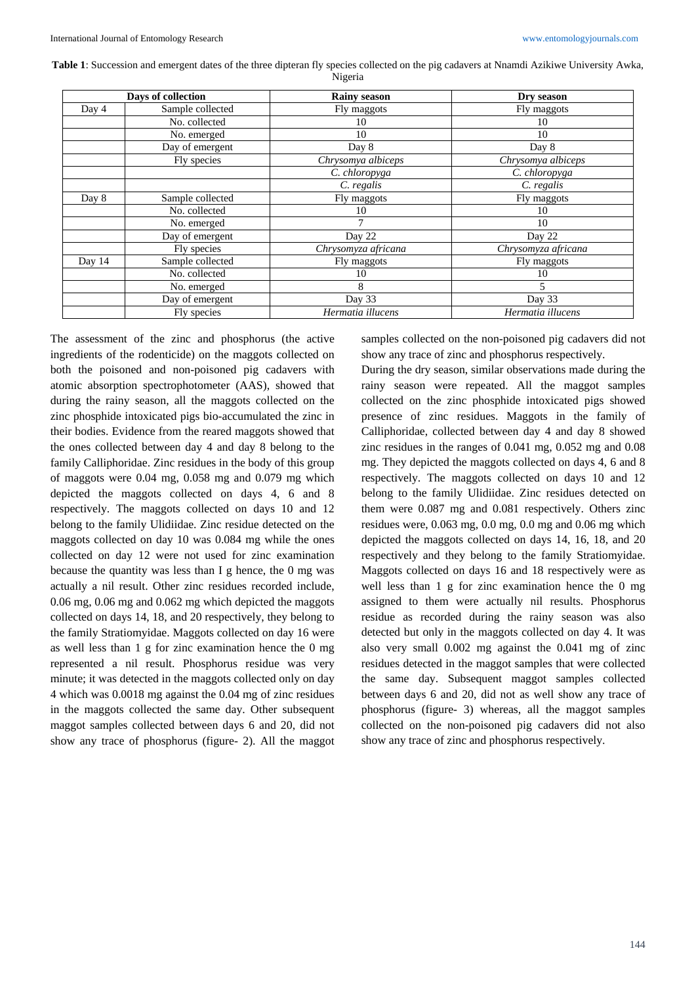**Table 1**: Succession and emergent dates of the three dipteran fly species collected on the pig cadavers at Nnamdi Azikiwe University Awka, Nigeria

| Days of collection |                  | <b>Rainy season</b> | Dry season          |
|--------------------|------------------|---------------------|---------------------|
| Day 4              | Sample collected | Fly maggots         | Fly maggots         |
|                    | No. collected    | 10                  | 10                  |
|                    | No. emerged      | 10                  | 10                  |
|                    | Day of emergent  | Day 8               | Day 8               |
|                    | Fly species      | Chrysomya albiceps  | Chrysomya albiceps  |
|                    |                  | C. chloropyga       | C. chloropyga       |
|                    |                  | C. regalis          | C. regalis          |
| Day 8              | Sample collected | Fly maggots         | Fly maggots         |
|                    | No. collected    | 10                  | 10                  |
|                    | No. emerged      |                     | 10                  |
|                    | Day of emergent  | Day 22              | Day 22              |
|                    | Fly species      | Chrysomyza africana | Chrysomyza africana |
| Day 14             | Sample collected | Fly maggots         | Fly maggots         |
|                    | No. collected    | 10                  | 10                  |
|                    | No. emerged      | 8                   | 5                   |
|                    | Day of emergent  | Day 33              | Day 33              |
|                    | Fly species      | Hermatia illucens   | Hermatia illucens   |

The assessment of the zinc and phosphorus (the active ingredients of the rodenticide) on the maggots collected on both the poisoned and non-poisoned pig cadavers with atomic absorption spectrophotometer (AAS), showed that during the rainy season, all the maggots collected on the zinc phosphide intoxicated pigs bio-accumulated the zinc in their bodies. Evidence from the reared maggots showed that the ones collected between day 4 and day 8 belong to the family Calliphoridae. Zinc residues in the body of this group of maggots were 0.04 mg, 0.058 mg and 0.079 mg which depicted the maggots collected on days 4, 6 and 8 respectively. The maggots collected on days 10 and 12 belong to the family Ulidiidae. Zinc residue detected on the maggots collected on day 10 was 0.084 mg while the ones collected on day 12 were not used for zinc examination because the quantity was less than I g hence, the 0 mg was actually a nil result. Other zinc residues recorded include, 0.06 mg, 0.06 mg and 0.062 mg which depicted the maggots collected on days 14, 18, and 20 respectively, they belong to the family Stratiomyidae. Maggots collected on day 16 were as well less than 1 g for zinc examination hence the 0 mg represented a nil result. Phosphorus residue was very minute; it was detected in the maggots collected only on day 4 which was 0.0018 mg against the 0.04 mg of zinc residues in the maggots collected the same day. Other subsequent maggot samples collected between days 6 and 20, did not show any trace of phosphorus (figure- 2). All the maggot

samples collected on the non-poisoned pig cadavers did not show any trace of zinc and phosphorus respectively.

During the dry season, similar observations made during the rainy season were repeated. All the maggot samples collected on the zinc phosphide intoxicated pigs showed presence of zinc residues. Maggots in the family of Calliphoridae, collected between day 4 and day 8 showed zinc residues in the ranges of 0.041 mg, 0.052 mg and 0.08 mg. They depicted the maggots collected on days 4, 6 and 8 respectively. The maggots collected on days 10 and 12 belong to the family Ulidiidae. Zinc residues detected on them were 0.087 mg and 0.081 respectively. Others zinc residues were, 0.063 mg, 0.0 mg, 0.0 mg and 0.06 mg which depicted the maggots collected on days 14, 16, 18, and 20 respectively and they belong to the family Stratiomyidae. Maggots collected on days 16 and 18 respectively were as well less than 1 g for zinc examination hence the 0 mg assigned to them were actually nil results. Phosphorus residue as recorded during the rainy season was also detected but only in the maggots collected on day 4. It was also very small 0.002 mg against the 0.041 mg of zinc residues detected in the maggot samples that were collected the same day. Subsequent maggot samples collected between days 6 and 20, did not as well show any trace of phosphorus (figure- 3) whereas, all the maggot samples collected on the non-poisoned pig cadavers did not also show any trace of zinc and phosphorus respectively.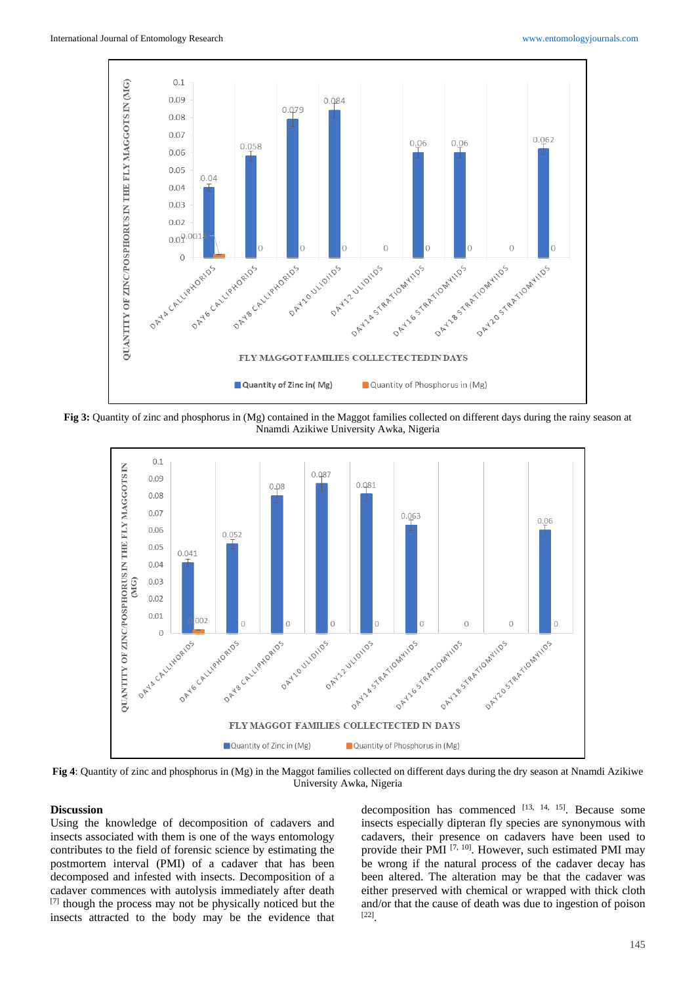

**Fig 3:** Quantity of zinc and phosphorus in (Mg) contained in the Maggot families collected on different days during the rainy season at Nnamdi Azikiwe University Awka, Nigeria



**Fig 4**: Quantity of zinc and phosphorus in (Mg) in the Maggot families collected on different days during the dry season at Nnamdi Azikiwe University Awka, Nigeria

### **Discussion**

Using the knowledge of decomposition of cadavers and insects associated with them is one of the ways entomology contributes to the field of forensic science by estimating the postmortem interval (PMI) of a cadaver that has been decomposed and infested with insects. Decomposition of a cadaver commences with autolysis immediately after death [7] though the process may not be physically noticed but the insects attracted to the body may be the evidence that

decomposition has commenced [13, 14, 15]. Because some insects especially dipteran fly species are synonymous with cadavers, their presence on cadavers have been used to provide their PMI [7, 10]. However, such estimated PMI may be wrong if the natural process of the cadaver decay has been altered. The alteration may be that the cadaver was either preserved with chemical or wrapped with thick cloth and/or that the cause of death was due to ingestion of poison [22].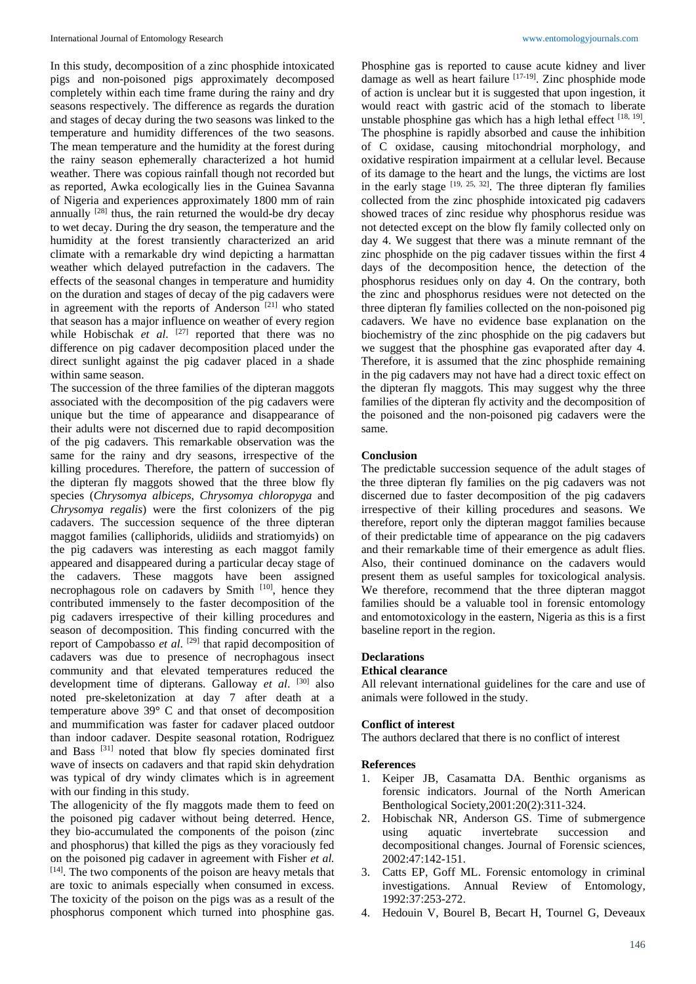In this study, decomposition of a zinc phosphide intoxicated pigs and non-poisoned pigs approximately decomposed completely within each time frame during the rainy and dry seasons respectively. The difference as regards the duration and stages of decay during the two seasons was linked to the temperature and humidity differences of the two seasons. The mean temperature and the humidity at the forest during the rainy season ephemerally characterized a hot humid weather. There was copious rainfall though not recorded but as reported, Awka ecologically lies in the Guinea Savanna of Nigeria and experiences approximately 1800 mm of rain annually  $[28]$  thus, the rain returned the would-be dry decay to wet decay. During the dry season, the temperature and the humidity at the forest transiently characterized an arid climate with a remarkable dry wind depicting a harmattan weather which delayed putrefaction in the cadavers. The effects of the seasonal changes in temperature and humidity on the duration and stages of decay of the pig cadavers were in agreement with the reports of Anderson [21] who stated that season has a major influence on weather of every region while Hobischak *et al.* <sup>[27]</sup> reported that there was no difference on pig cadaver decomposition placed under the direct sunlight against the pig cadaver placed in a shade within same season.

The succession of the three families of the dipteran maggots associated with the decomposition of the pig cadavers were unique but the time of appearance and disappearance of their adults were not discerned due to rapid decomposition of the pig cadavers. This remarkable observation was the same for the rainy and dry seasons, irrespective of the killing procedures. Therefore, the pattern of succession of the dipteran fly maggots showed that the three blow fly species (*Chrysomya albiceps*, *Chrysomya chloropyga* and *Chrysomya regalis*) were the first colonizers of the pig cadavers. The succession sequence of the three dipteran maggot families (calliphorids, ulidiids and stratiomyids) on the pig cadavers was interesting as each maggot family appeared and disappeared during a particular decay stage of the cadavers. These maggots have been assigned necrophagous role on cadavers by Smith [10], hence they contributed immensely to the faster decomposition of the pig cadavers irrespective of their killing procedures and season of decomposition. This finding concurred with the report of Campobasso et al. <sup>[29]</sup> that rapid decomposition of cadavers was due to presence of necrophagous insect community and that elevated temperatures reduced the development time of dipterans. Galloway *et al*. [30] also noted pre-skeletonization at day 7 after death at a temperature above 39**°** C and that onset of decomposition and mummification was faster for cadaver placed outdoor than indoor cadaver. Despite seasonal rotation, Rodriguez and Bass [31] noted that blow fly species dominated first wave of insects on cadavers and that rapid skin dehydration was typical of dry windy climates which is in agreement with our finding in this study.

The allogenicity of the fly maggots made them to feed on the poisoned pig cadaver without being deterred. Hence, they bio-accumulated the components of the poison (zinc and phosphorus) that killed the pigs as they voraciously fed on the poisoned pig cadaver in agreement with Fisher *et al.* [14]. The two components of the poison are heavy metals that are toxic to animals especially when consumed in excess. The toxicity of the poison on the pigs was as a result of the phosphorus component which turned into phosphine gas.

Phosphine gas is reported to cause acute kidney and liver damage as well as heart failure <sup>[17-19]</sup>. Zinc phosphide mode of action is unclear but it is suggested that upon ingestion, it would react with gastric acid of the stomach to liberate unstable phosphine gas which has a high lethal effect [18, 19]. The phosphine is rapidly absorbed and cause the inhibition of C oxidase, causing mitochondrial morphology, and oxidative respiration impairment at a cellular level. Because of its damage to the heart and the lungs, the victims are lost in the early stage  $[19, 25, 32]$ . The three dipteran fly families collected from the zinc phosphide intoxicated pig cadavers showed traces of zinc residue why phosphorus residue was not detected except on the blow fly family collected only on day 4. We suggest that there was a minute remnant of the zinc phosphide on the pig cadaver tissues within the first 4 days of the decomposition hence, the detection of the phosphorus residues only on day 4. On the contrary, both the zinc and phosphorus residues were not detected on the three dipteran fly families collected on the non-poisoned pig cadavers. We have no evidence base explanation on the biochemistry of the zinc phosphide on the pig cadavers but we suggest that the phosphine gas evaporated after day 4. Therefore, it is assumed that the zinc phosphide remaining in the pig cadavers may not have had a direct toxic effect on the dipteran fly maggots. This may suggest why the three families of the dipteran fly activity and the decomposition of the poisoned and the non-poisoned pig cadavers were the same.

### **Conclusion**

The predictable succession sequence of the adult stages of the three dipteran fly families on the pig cadavers was not discerned due to faster decomposition of the pig cadavers irrespective of their killing procedures and seasons. We therefore, report only the dipteran maggot families because of their predictable time of appearance on the pig cadavers and their remarkable time of their emergence as adult flies. Also, their continued dominance on the cadavers would present them as useful samples for toxicological analysis. We therefore, recommend that the three dipteran maggot families should be a valuable tool in forensic entomology and entomotoxicology in the eastern, Nigeria as this is a first baseline report in the region.

### **Declarations**

### **Ethical clearance**

All relevant international guidelines for the care and use of animals were followed in the study.

#### **Conflict of interest**

The authors declared that there is no conflict of interest

#### **References**

- 1. Keiper JB, Casamatta DA. Benthic organisms as forensic indicators. Journal of the North American Benthological Society,2001:20(2):311-324.
- 2. Hobischak NR, Anderson GS. Time of submergence using aquatic invertebrate succession and decompositional changes. Journal of Forensic sciences*,* 2002:47:142-151.
- 3. Catts EP, Goff ML. Forensic entomology in criminal investigations. Annual Review of Entomology*,* 1992:37:253-272.
- 4. Hedouin V, Bourel B, Becart H, Tournel G, Deveaux